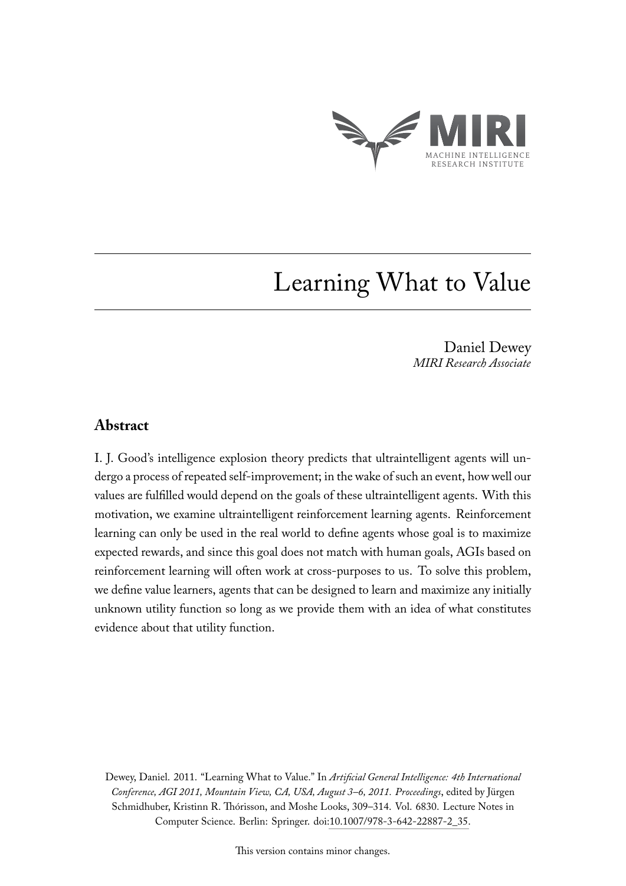

# Learning What to Value

Daniel Dewey *MIRI Research Associate*

### **Abstract**

I. J. Good's intelligence explosion theory predicts that ultraintelligent agents will undergo a process of repeated self-improvement; in the wake of such an event, how well our values are fulfilled would depend on the goals of these ultraintelligent agents. With this motivation, we examine ultraintelligent reinforcement learning agents. Reinforcement learning can only be used in the real world to define agents whose goal is to maximize expected rewards, and since this goal does not match with human goals, AGIs based on reinforcement learning will often work at cross-purposes to us. To solve this problem, we define value learners, agents that can be designed to learn and maximize any initially unknown utility function so long as we provide them with an idea of what constitutes evidence about that utility function.

Dewey, Daniel. 2011. "Learning What to Value." In *Artificial General Intelligence: 4th International Conference, AGI 2011, Mountain View, CA, USA, August 3–6, 2011. Proceedings*, edited by Jürgen Schmidhuber, Kristinn R. Thórisson, and Moshe Looks, 309–314. Vol. 6830. Lecture Notes in Computer Science. Berlin: Springer. doi[:10.1007/978-3-642-22887-2\\_35.](http://dx.doi.org/10.1007/978-3-642-22887-2_35)

This version contains minor changes.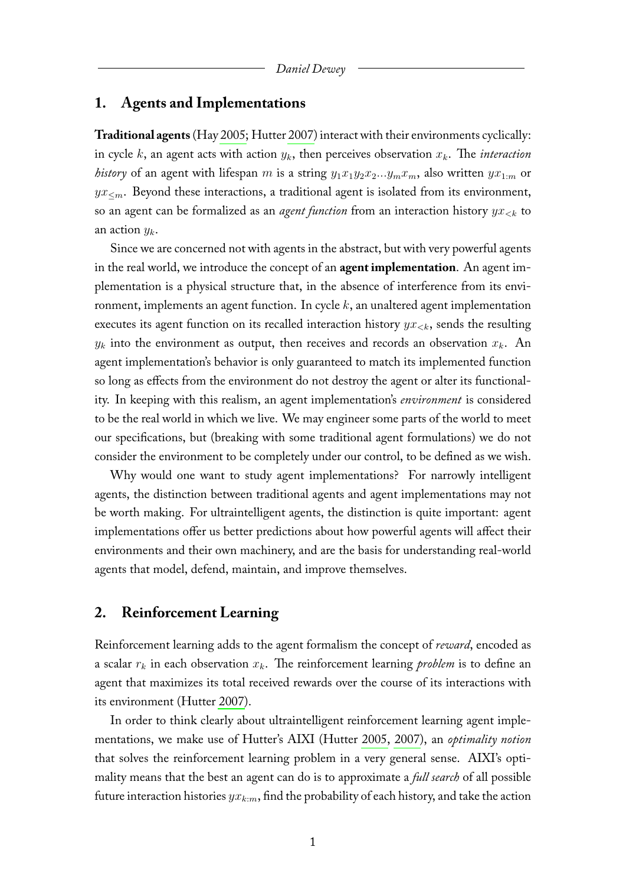#### **1. Agents and Implementations**

**Traditional agents**(Hay [2005;](#page-7-0) Hutter [2007\)](#page-7-1) interact with their environments cyclically: in cycle k, an agent acts with action  $y_k$ , then perceives observation  $x_k$ . The *interaction history* of an agent with lifespan m is a string  $y_1x_1y_2x_2...y_mx_m$ , also written  $yx_{1:m}$  or  $yx<sub>cm</sub>$ . Beyond these interactions, a traditional agent is isolated from its environment, so an agent can be formalized as an *agent function* from an interaction history  $yx_{< k}$  to an action  $y_k$ .

Since we are concerned not with agents in the abstract, but with very powerful agents in the real world, we introduce the concept of an **agent implementation**. An agent implementation is a physical structure that, in the absence of interference from its environment, implements an agent function. In cycle  $k$ , an unaltered agent implementation executes its agent function on its recalled interaction history  $yx_{< k}$ , sends the resulting  $y_k$  into the environment as output, then receives and records an observation  $x_k$ . An agent implementation's behavior is only guaranteed to match its implemented function so long as effects from the environment do not destroy the agent or alter its functionality. In keeping with this realism, an agent implementation's *environment* is considered to be the real world in which we live. We may engineer some parts of the world to meet our specifications, but (breaking with some traditional agent formulations) we do not consider the environment to be completely under our control, to be defined as we wish.

Why would one want to study agent implementations? For narrowly intelligent agents, the distinction between traditional agents and agent implementations may not be worth making. For ultraintelligent agents, the distinction is quite important: agent implementations offer us better predictions about how powerful agents will affect their environments and their own machinery, and are the basis for understanding real-world agents that model, defend, maintain, and improve themselves.

#### **2. Reinforcement Learning**

Reinforcement learning adds to the agent formalism the concept of *reward*, encoded as a scalar  $r_k$  in each observation  $x_k$ . The reinforcement learning *problem* is to define an agent that maximizes its total received rewards over the course of its interactions with its environment (Hutter [2007\)](#page-7-1).

In order to think clearly about ultraintelligent reinforcement learning agent implementations, we make use of Hutter's AIXI (Hutter [2005,](#page-7-2) [2007\)](#page-7-1), an *optimality notion* that solves the reinforcement learning problem in a very general sense. AIXI's optimality means that the best an agent can do is to approximate a *full search* of all possible future interaction histories  $yx_{k:m}$ , find the probability of each history, and take the action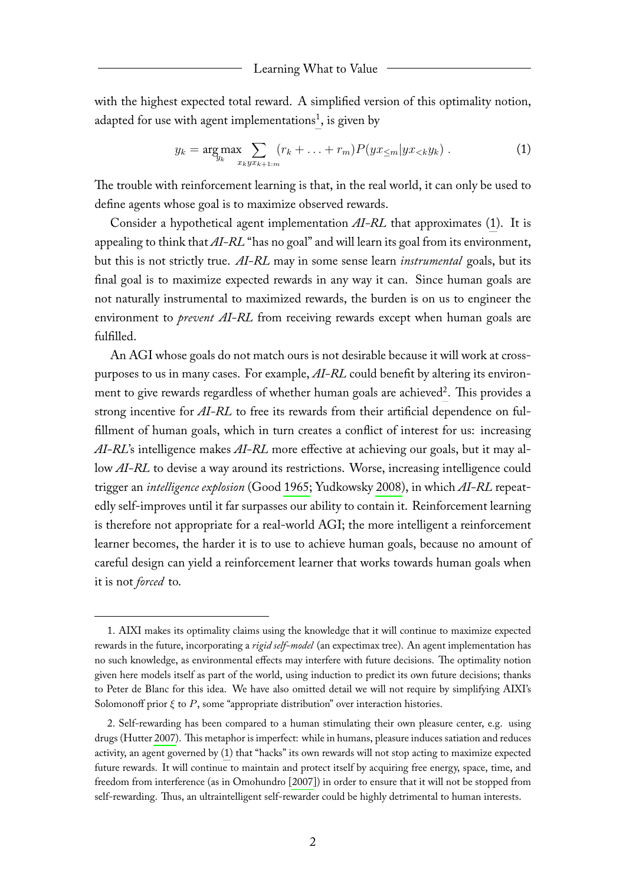#### Learning What to Value

with the highest expected total reward. A simplified version of this optimality notion, adapted for use with agent implementations<sup>[1](#page-2-0)</sup>, is given by

<span id="page-2-1"></span>
$$
y_k = \underset{x_k y x_{k+1:m}}{\arg \max} \sum_{x_k y x_{k+1:m}} (r_k + \ldots + r_m) P(y x_{\leq m} | y x_{\leq k} y_k) \,. \tag{1}
$$

The trouble with reinforcement learning is that, in the real world, it can only be used to define agents whose goal is to maximize observed rewards.

Consider a hypothetical agent implementation *AI-RL* that approximates [\(1\)](#page-2-1). It is appealing to think that *AI-RL* "has no goal" and will learn its goal from its environment, but this is not strictly true. *AI-RL* may in some sense learn *instrumental* goals, but its final goal is to maximize expected rewards in any way it can. Since human goals are not naturally instrumental to maximized rewards, the burden is on us to engineer the environment to *prevent AI-RL* from receiving rewards except when human goals are fulfilled.

An AGI whose goals do not match ours is not desirable because it will work at crosspurposes to us in many cases. For example, *AI-RL* could benefit by altering its environ-ment to give rewards regardless of whether human goals are achieved<sup>[2](#page-2-2)</sup>. This provides a strong incentive for *AI-RL* to free its rewards from their artificial dependence on fulfillment of human goals, which in turn creates a conflict of interest for us: increasing *AI-RL*'s intelligence makes *AI-RL* more effective at achieving our goals, but it may allow *AI-RL* to devise a way around its restrictions. Worse, increasing intelligence could trigger an *intelligence explosion* (Good [1965;](#page-7-3) Yudkowsky [2008\)](#page-7-4), in which *AI-RL* repeatedly self-improves until it far surpasses our ability to contain it. Reinforcement learning is therefore not appropriate for a real-world AGI; the more intelligent a reinforcement learner becomes, the harder it is to use to achieve human goals, because no amount of careful design can yield a reinforcement learner that works towards human goals when it is not *forced* to.

<span id="page-2-0"></span><sup>1.</sup> AIXI makes its optimality claims using the knowledge that it will continue to maximize expected rewards in the future, incorporating a *rigid self-model* (an expectimax tree). An agent implementation has no such knowledge, as environmental effects may interfere with future decisions. The optimality notion given here models itself as part of the world, using induction to predict its own future decisions; thanks to Peter de Blanc for this idea. We have also omitted detail we will not require by simplifying AIXI's Solomonoff prior  $\xi$  to  $P$ , some "appropriate distribution" over interaction histories.

<span id="page-2-2"></span><sup>2.</sup> Self-rewarding has been compared to a human stimulating their own pleasure center, e.g. using drugs (Hutter [2007\)](#page-7-1). This metaphor is imperfect: while in humans, pleasure induces satiation and reduces activity, an agent governed by [\(1\)](#page-2-1) that "hacks" its own rewards will not stop acting to maximize expected future rewards. It will continue to maintain and protect itself by acquiring free energy, space, time, and freedom from interference (as in Omohundro [\[2007\]](#page-7-5)) in order to ensure that it will not be stopped from self-rewarding. Thus, an ultraintelligent self-rewarder could be highly detrimental to human interests.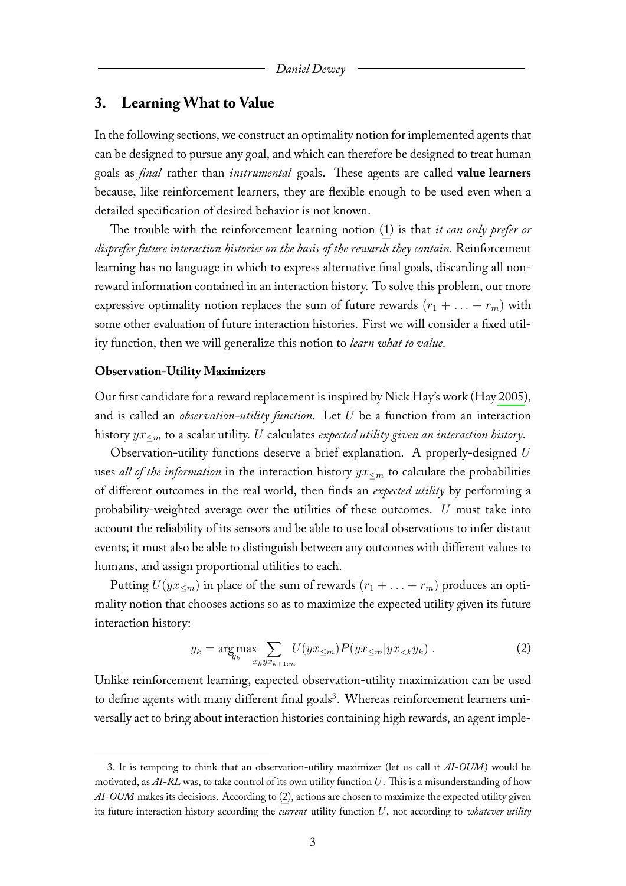#### **3. Learning What to Value**

In the following sections, we construct an optimality notion for implemented agents that can be designed to pursue any goal, and which can therefore be designed to treat human goals as *final* rather than *instrumental* goals. These agents are called **value learners** because, like reinforcement learners, they are flexible enough to be used even when a detailed specification of desired behavior is not known.

The trouble with the reinforcement learning notion [\(1\)](#page-2-1) is that *it can only prefer or disprefer future interaction histories on the basis of the rewards they contain.* Reinforcement learning has no language in which to express alternative final goals, discarding all nonreward information contained in an interaction history. To solve this problem, our more expressive optimality notion replaces the sum of future rewards  $(r_1 + \ldots + r_m)$  with some other evaluation of future interaction histories. First we will consider a fixed utility function, then we will generalize this notion to *learn what to value*.

#### **Observation-Utility Maximizers**

Our first candidate for a reward replacement is inspired by Nick Hay's work (Hay [2005\)](#page-7-0), and is called an *observation-utility function*. Let U be a function from an interaction history yx<sup>≤</sup><sup>m</sup> to a scalar utility. U calculates *expected utility given an interaction history*.

Observation-utility functions deserve a brief explanation. A properly-designed  $U$ uses *all of the information* in the interaction history  $yx ≤ m$  to calculate the probabilities of different outcomes in the real world, then finds an *expected utility* by performing a probability-weighted average over the utilities of these outcomes. U must take into account the reliability of its sensors and be able to use local observations to infer distant events; it must also be able to distinguish between any outcomes with different values to humans, and assign proportional utilities to each.

Putting  $U(yx_{\leq m})$  in place of the sum of rewards  $(r_1 + \ldots + r_m)$  produces an optimality notion that chooses actions so as to maximize the expected utility given its future interaction history:

<span id="page-3-1"></span>
$$
y_k = \underset{y_k}{\arg\max} \sum_{x_k y x_{k+1:m}} U(yx_{\leq m}) P(yx_{\leq m}|yx_{\leq k}y_k) . \tag{2}
$$

Unlike reinforcement learning, expected observation-utility maximization can be used to define agents with many different final goals<sup>[3](#page-3-0)</sup>. Whereas reinforcement learners universally act to bring about interaction histories containing high rewards, an agent imple-

<span id="page-3-0"></span><sup>3.</sup> It is tempting to think that an observation-utility maximizer (let us call it *AI-OUM*) would be motivated, as *AI-RL* was, to take control of its own utility function U. This is a misunderstanding of how *AI-OUM* makes its decisions. According to [\(2\)](#page-3-1), actions are chosen to maximize the expected utility given its future interaction history according the *current* utility function U, not according to *whatever utility*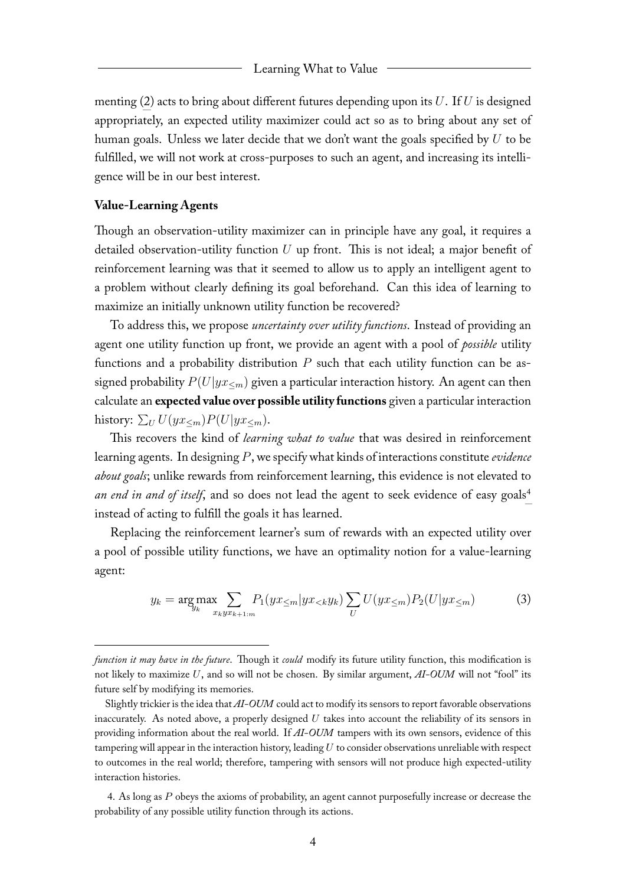#### Learning What to Value

menting [\(2\)](#page-3-1) acts to bring about different futures depending upon its  $U$ . If  $U$  is designed appropriately, an expected utility maximizer could act so as to bring about any set of human goals. Unless we later decide that we don't want the goals specified by  $U$  to be fulfilled, we will not work at cross-purposes to such an agent, and increasing its intelligence will be in our best interest.

#### **Value-Learning Agents**

Though an observation-utility maximizer can in principle have any goal, it requires a detailed observation-utility function  $U$  up front. This is not ideal; a major benefit of reinforcement learning was that it seemed to allow us to apply an intelligent agent to a problem without clearly defining its goal beforehand. Can this idea of learning to maximize an initially unknown utility function be recovered?

To address this, we propose *uncertainty over utility functions*. Instead of providing an agent one utility function up front, we provide an agent with a pool of *possible* utility functions and a probability distribution  $P$  such that each utility function can be assigned probability  $P(U|yx_{\leq m})$  given a particular interaction history. An agent can then calculate an **expected value over possible utility functions** given a particular interaction history:  $\sum_U U(yx_{\leq m})P(U|yx_{\leq m}).$ 

This recovers the kind of *learning what to value* that was desired in reinforcement learning agents. In designing P, we specify what kinds of interactions constitute *evidence about goals*; unlike rewards from reinforcement learning, this evidence is not elevated to *an end in and of itself*, and so does not lead the agent to seek evidence of easy goals<sup>[4](#page-4-0)</sup> instead of acting to fulfill the goals it has learned.

Replacing the reinforcement learner's sum of rewards with an expected utility over a pool of possible utility functions, we have an optimality notion for a value-learning agent:

$$
y_k = \underset{y_k}{\arg\max} \sum_{x_k y x_{k+1:m}} P_1(y x_{\leq m} | y x_{
$$

<span id="page-4-0"></span>4. As long as P obeys the axioms of probability, an agent cannot purposefully increase or decrease the probability of any possible utility function through its actions.

*function it may have in the future*. Though it *could* modify its future utility function, this modification is not likely to maximize U, and so will not be chosen. By similar argument, *AI-OUM* will not "fool" its future self by modifying its memories.

Slightly trickier is the idea that *AI-OUM* could act to modify its sensors to report favorable observations inaccurately. As noted above, a properly designed  $U$  takes into account the reliability of its sensors in providing information about the real world. If *AI-OUM* tampers with its own sensors, evidence of this tampering will appear in the interaction history, leading  $U$  to consider observations unreliable with respect to outcomes in the real world; therefore, tampering with sensors will not produce high expected-utility interaction histories.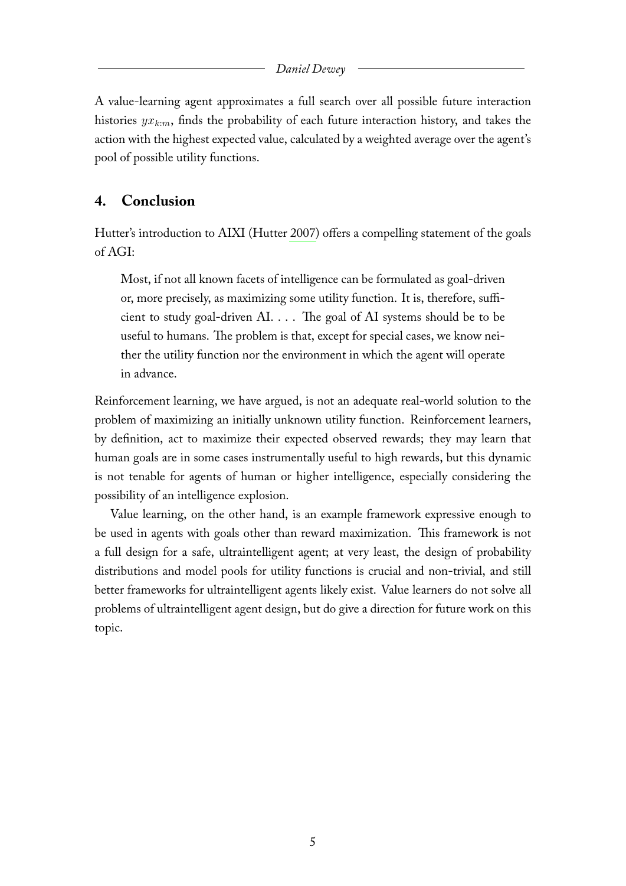#### *Daniel Dewey*

A value-learning agent approximates a full search over all possible future interaction histories  $yx_{k:m}$ , finds the probability of each future interaction history, and takes the action with the highest expected value, calculated by a weighted average over the agent's pool of possible utility functions.

# **4. Conclusion**

Hutter's introduction to AIXI (Hutter [2007\)](#page-7-1) offers a compelling statement of the goals of AGI:

Most, if not all known facets of intelligence can be formulated as goal-driven or, more precisely, as maximizing some utility function. It is, therefore, sufficient to study goal-driven AI. . . . The goal of AI systems should be to be useful to humans. The problem is that, except for special cases, we know neither the utility function nor the environment in which the agent will operate in advance.

Reinforcement learning, we have argued, is not an adequate real-world solution to the problem of maximizing an initially unknown utility function. Reinforcement learners, by definition, act to maximize their expected observed rewards; they may learn that human goals are in some cases instrumentally useful to high rewards, but this dynamic is not tenable for agents of human or higher intelligence, especially considering the possibility of an intelligence explosion.

Value learning, on the other hand, is an example framework expressive enough to be used in agents with goals other than reward maximization. This framework is not a full design for a safe, ultraintelligent agent; at very least, the design of probability distributions and model pools for utility functions is crucial and non-trivial, and still better frameworks for ultraintelligent agents likely exist. Value learners do not solve all problems of ultraintelligent agent design, but do give a direction for future work on this topic.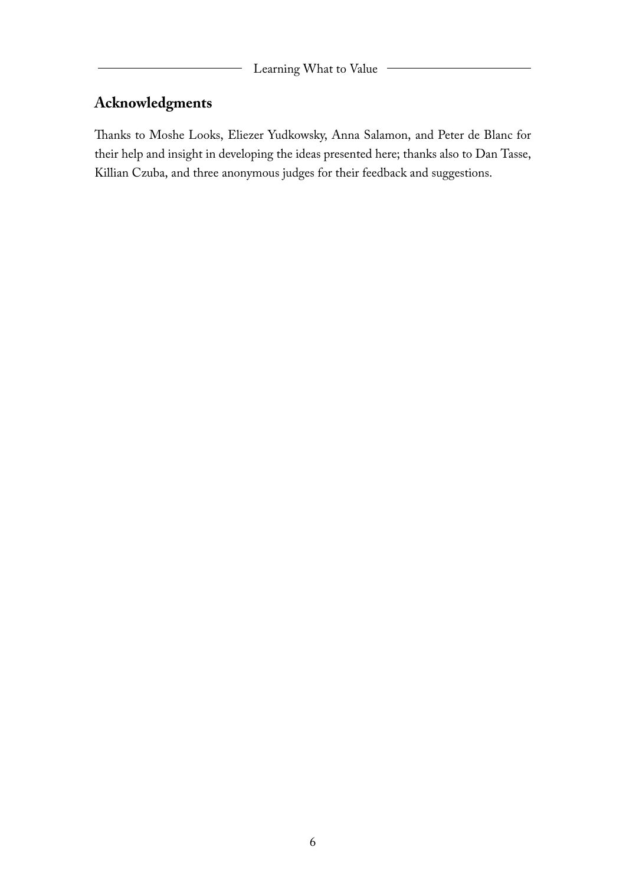# **Acknowledgments**

Thanks to Moshe Looks, Eliezer Yudkowsky, Anna Salamon, and Peter de Blanc for their help and insight in developing the ideas presented here; thanks also to Dan Tasse, Killian Czuba, and three anonymous judges for their feedback and suggestions.